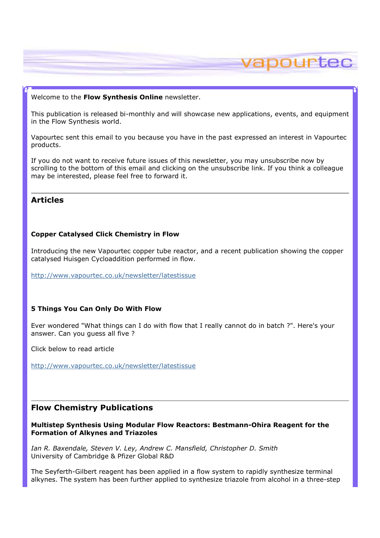#### Welcome to the Flow Synthesis Online newsletter.

This publication is released bi-monthly and will showcase new applications, events, and equipment in the Flow Synthesis world.

vapourtec

Vapourtec sent this email to you because you have in the past expressed an interest in Vapourtec products.

If you do not want to receive future issues of this newsletter, you may unsubscribe now by scrolling to the bottom of this email and clicking on the unsubscribe link. If you think a colleague may be interested, please feel free to forward it.

# Articles

### Copper Catalysed Click Chemistry in Flow

Introducing the new Vapourtec copper tube reactor, and a recent publication showing the copper catalysed Huisgen Cycloaddition performed in flow.

http://www.vapourtec.co.uk/newsletter/latestissue

#### 5 Things You Can Only Do With Flow

Ever wondered "What things can I do with flow that I really cannot do in batch ?". Here's your answer. Can you guess all five ?

Click below to read article

http://www.vapourtec.co.uk/newsletter/latestissue

## Flow Chemistry Publications

Multistep Synthesis Using Modular Flow Reactors: Bestmann-Ohira Reagent for the Formation of Alkynes and Triazoles

Ian R. Baxendale, Steven V. Ley, Andrew C. Mansfield, Christopher D. Smith University of Cambridge & Pfizer Global R&D

The Seyferth-Gilbert reagent has been applied in a flow system to rapidly synthesize terminal alkynes. The system has been further applied to synthesize triazole from alcohol in a three-step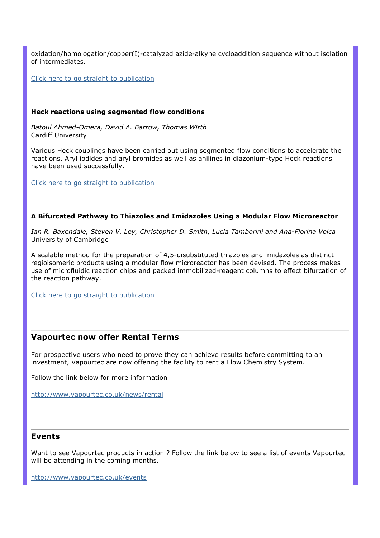oxidation/homologation/copper(I)-catalyzed azide-alkyne cycloaddition sequence without isolation of intermediates.

Click here to go straight to publication

#### Heck reactions using segmented flow conditions

Batoul Ahmed-Omera, David A. Barrow, Thomas Wirth Cardiff University

Various Heck couplings have been carried out using segmented flow conditions to accelerate the reactions. Aryl iodides and aryl bromides as well as anilines in diazonium-type Heck reactions have been used successfully.

Click here to go straight to publication

## A Bifurcated Pathway to Thiazoles and Imidazoles Using a Modular Flow Microreactor

Ian R. Baxendale, Steven V. Ley, Christopher D. Smith, Lucia Tamborini and Ana-Florina Voica University of Cambridge

A scalable method for the preparation of 4,5-disubstituted thiazoles and imidazoles as distinct regioisomeric products using a modular flow microreactor has been devised. The process makes use of microfluidic reaction chips and packed immobilized-reagent columns to effect bifurcation of the reaction pathway.

Click here to go straight to publication

## Vapourtec now offer Rental Terms

For prospective users who need to prove they can achieve results before committing to an investment, Vapourtec are now offering the facility to rent a Flow Chemistry System.

Follow the link below for more information

http://www.vapourtec.co.uk/news/rental

### Events

Want to see Vapourtec products in action ? Follow the link below to see a list of events Vapourtec will be attending in the coming months.

http://www.vapourtec.co.uk/events